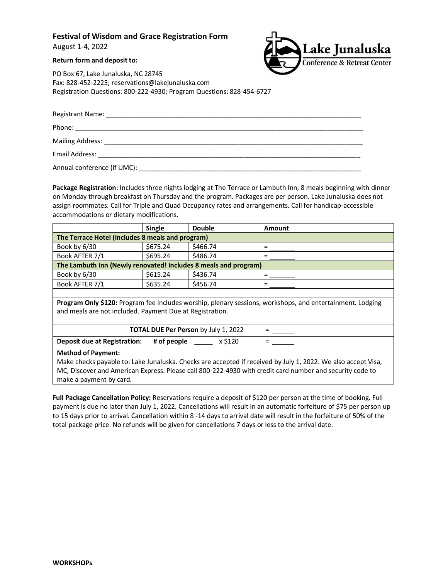# **Festival of Wisdom and Grace Registration Form**

August 1-4, 2022

### **Return form and deposit to:**



PO Box 67, Lake Junaluska, NC 28745 Fax: 828-452-2225; reservations@lakejunaluska.com Registration Questions: 800-222-4930; Program Questions: 828-454-6727

| Email Address: No. 2020   The Contract of Tennis and Tennis and Tennis and Tennis and Tennis and Tennis and Te |  |  |
|----------------------------------------------------------------------------------------------------------------|--|--|
| Annual conference (if UMC):                                                                                    |  |  |

**Package Registration**: Includes three nights lodging at The Terrace or Lambuth Inn, 8 meals beginning with dinner on Monday through breakfast on Thursday and the program. Packages are per person. Lake Junaluska does not assign roommates. Call for Triple and Quad Occupancy rates and arrangements. Call for handicap-accessible accommodations or dietary modifications.

|                                                                                                                                                                       | <b>Single</b> | <b>Double</b> | Amount |  |
|-----------------------------------------------------------------------------------------------------------------------------------------------------------------------|---------------|---------------|--------|--|
| The Terrace Hotel (Includes 8 meals and program)                                                                                                                      |               |               |        |  |
| Book by 6/30                                                                                                                                                          | \$675.24      | \$466.74      | $=$    |  |
| Book AFTER 7/1                                                                                                                                                        | \$695.24      | \$486.74      | =      |  |
| The Lambuth Inn (Newly renovated! Includes 8 meals and program)                                                                                                       |               |               |        |  |
| Book by 6/30                                                                                                                                                          | \$615.24      | \$436.74      | $=$    |  |
| Book AFTER 7/1                                                                                                                                                        | \$635.24      | \$456.74      | =      |  |
|                                                                                                                                                                       |               |               |        |  |
| Program Only \$120: Program fee includes worship, plenary sessions, workshops, and entertainment. Lodging<br>and meals are not included. Payment Due at Registration. |               |               |        |  |
| <b>TOTAL DUE Per Person by July 1, 2022</b>                                                                                                                           |               |               |        |  |
| <b>Deposit due at Registration:</b>                                                                                                                                   | # of people   | x \$120       |        |  |
| <b>Method of Payment:</b>                                                                                                                                             |               |               |        |  |
| Make checks payable to: Lake Junaluska. Checks are accepted if received by July 1, 2022. We also accept Visa,                                                         |               |               |        |  |
| MC, Discover and American Express. Please call 800-222-4930 with credit card number and security code to                                                              |               |               |        |  |

make a payment by card.

**Full Package Cancellation Policy:** Reservations require a deposit of \$120 per person at the time of booking. Full payment is due no later than July 1, 2022. Cancellations will result in an automatic forfeiture of \$75 per person up to 15 days prior to arrival. Cancellation within 8 -14 days to arrival date will result in the forfeiture of 50% of the total package price. No refunds will be given for cancellations 7 days or less to the arrival date.